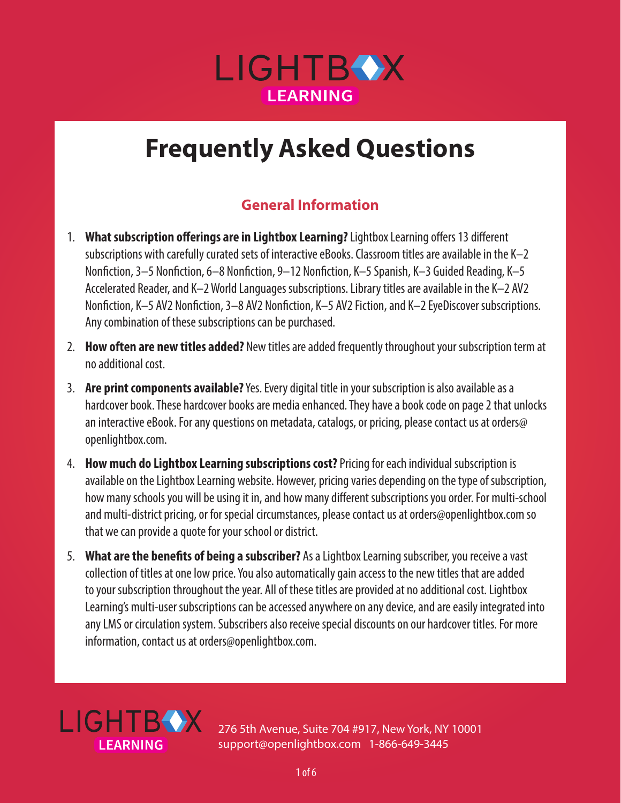

### **General Information**

- 1. **What subscription offerings are in Lightbox Learning?** Lightbox Learning offers 13 different subscriptions with carefully curated sets of interactive eBooks. Classroom titles are available in the K–2 Nonfiction, 3–5 Nonfiction, 6–8 Nonfiction, 9–12 Nonfiction, K–5 Spanish, K–3 Guided Reading, K–5 Accelerated Reader, and K–2 World Languages subscriptions. Library titles are available in the K–2 AV2 Nonfiction, K–5 AV2 Nonfiction, 3–8 AV2 Nonfiction, K–5 AV2 Fiction, and K–2 EyeDiscover subscriptions. Any combination of these subscriptions can be purchased.
- 2. **How often are new titles added?** New titles are added frequently throughout your subscription term at no additional cost.
- 3. **Are print components available?** Yes. Every digital title in your subscription is also available as a hardcover book. These hardcover books are media enhanced. They have a book code on page 2 that unlocks an interactive eBook. For any questions on metadata, catalogs, or pricing, please contact us at orders@ openlightbox.com.
- 4. **How much do Lightbox Learning subscriptions cost?** Pricing for each individual subscription is available on the Lightbox Learning website. However, pricing varies depending on the type of subscription, how many schools you will be using it in, and how many different subscriptions you order. For multi-school and multi-district pricing, or for special circumstances, please contact us at orders@openlightbox.com so that we can provide a quote for your school or district.
- 5. **What are the benefits of being a subscriber?** As a Lightbox Learning subscriber, you receive a vast collection of titles at one low price. You also automatically gain access to the new titles that are added to your subscription throughout the year. All of these titles are provided at no additional cost. Lightbox Learning's multi-user subscriptions can be accessed anywhere on any device, and are easily integrated into any LMS or circulation system. Subscribers also receive special discounts on our hardcover titles. For more information, contact us at orders@openlightbox.com.

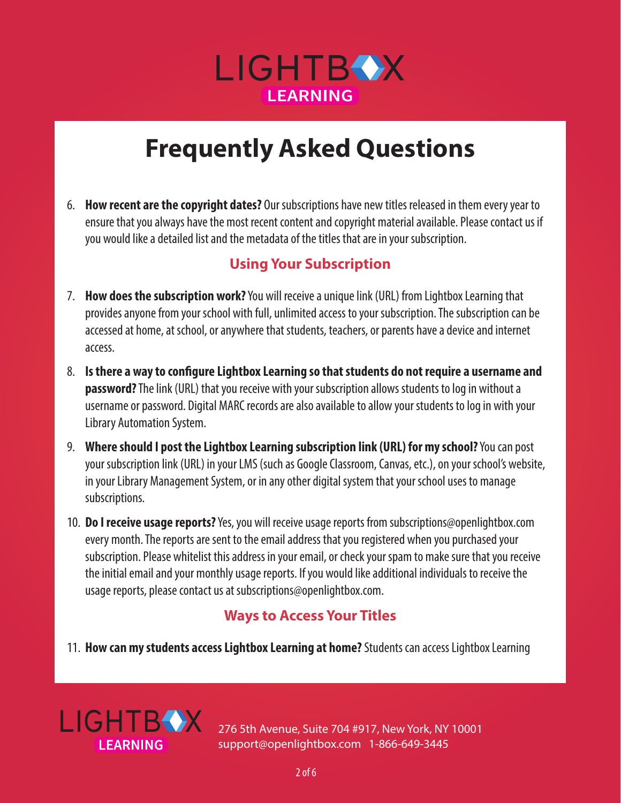

6. **How recent are the copyright dates?** Our subscriptions have new titles released in them every year to ensure that you always have the most recent content and copyright material available. Please contact us if you would like a detailed list and the metadata of the titles that are in your subscription.

### **Using Your Subscription**

- 7. **How does the subscription work?** You will receive a unique link (URL) from Lightbox Learning that provides anyone from your school with full, unlimited access to your subscription. The subscription can be accessed at home, at school, or anywhere that students, teachers, or parents have a device and internet access.
- 8. **Is there a way to configure Lightbox Learning so that students do not require a username and password?** The link (URL) that you receive with your subscription allows students to log in without a username or password. Digital MARC records are also available to allow your students to log in with your Library Automation System.
- 9. **Where should I post the Lightbox Learning subscription link (URL) for my school?** You can post your subscription link (URL) in your LMS (such as Google Classroom, Canvas, etc.), on your school's website, in your Library Management System, or in any other digital system that your school uses to manage subscriptions.
- 10. **Do I receive usage reports?** Yes, you will receive usage reports from subscriptions@openlightbox.com every month. The reports are sent to the email address that you registered when you purchased your subscription. Please whitelist this address in your email, or check your spam to make sure that you receive the initial email and your monthly usage reports. If you would like additional individuals to receive the usage reports, please contact us at subscriptions@openlightbox.com.

### **Ways to Access Your Titles**

11. **How can my students access Lightbox Learning at home?** Students can access Lightbox Learning

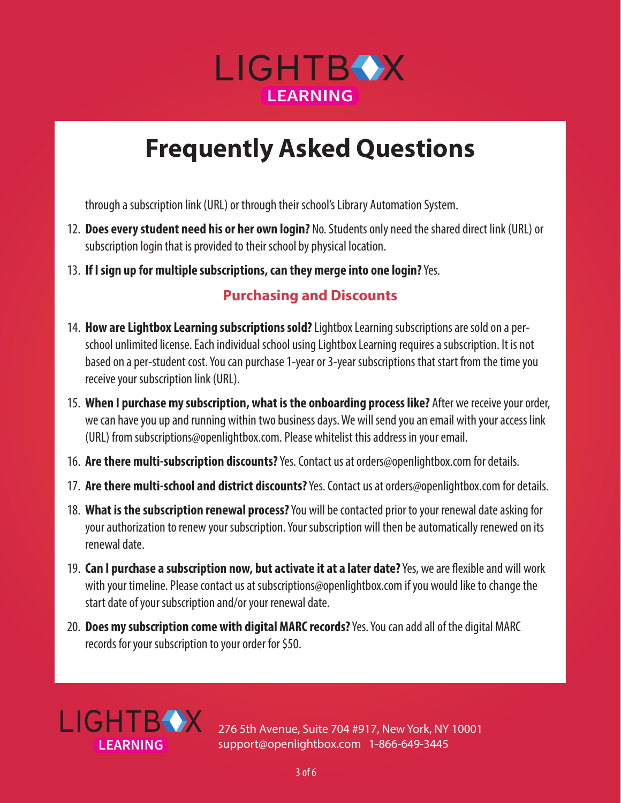

through a subscription link (URL) or through their school's Library Automation System.

- 12. **Does every student need his or her own login?** No. Students only need the shared direct link (URL) or subscription login that is provided to their school by physical location.
- 13. **If I sign up for multiple subscriptions, can they merge into one login?** Yes.

#### **Purchasing and Discounts**

- 14. **How are Lightbox Learning subscriptions sold?** Lightbox Learning subscriptions are sold on a perschool unlimited license. Each individual school using Lightbox Learning requires a subscription. It is not based on a per-student cost. You can purchase 1-year or 3-year subscriptions that start from the time you receive your subscription link (URL).
- 15. **When I purchase my subscription, what is the onboarding process like?** After we receive your order, we can have you up and running within two business days. We will send you an email with your access link (URL) from subscriptions@openlightbox.com. Please whitelist this address in your email.
- 16. **Are there multi-subscription discounts?** Yes. Contact us at orders@openlightbox.com for details.
- 17. **Are there multi-school and district discounts?** Yes. Contact us at orders@openlightbox.com for details.
- 18. **What is the subscription renewal process?** You will be contacted prior to your renewal date asking for your authorization to renew your subscription. Your subscription will then be automatically renewed on its renewal date.
- 19. **Can I purchase a subscription now, but activate it at a later date?** Yes, we are flexible and will work with your timeline. Please contact us at subscriptions@openlightbox.com if you would like to change the start date of your subscription and/or your renewal date.
- 20. **Does my subscription come with digital MARC records?** Yes. You can add all of the digital MARC records for your subscription to your order for \$50.

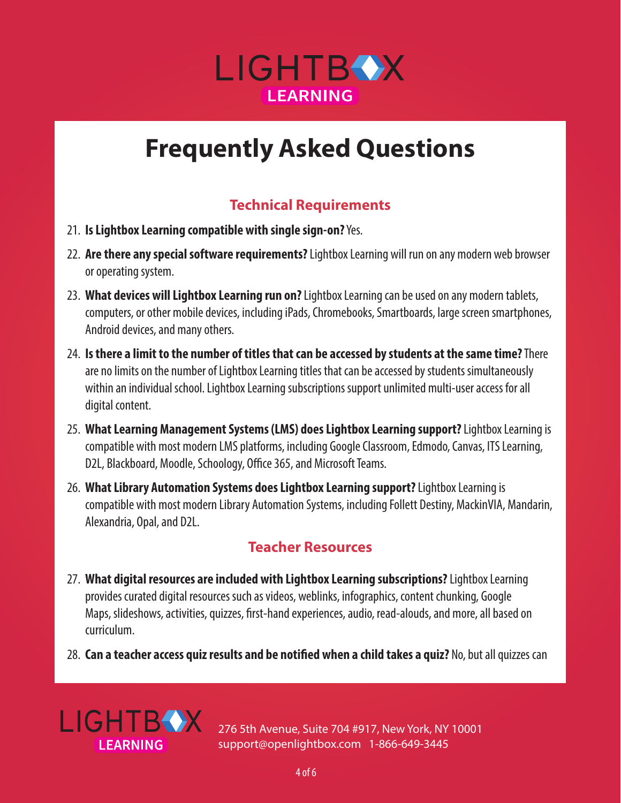

### **Technical Requirements**

- 21. **Is Lightbox Learning compatible with single sign-on?** Yes.
- 22. **Are there any special software requirements?** Lightbox Learning will run on any modern web browser or operating system.
- 23. **What devices will Lightbox Learning run on?** Lightbox Learning can be used on any modern tablets, computers, or other mobile devices, including iPads, Chromebooks, Smartboards, large screen smartphones, Android devices, and many others.
- 24. **Is there a limit to the number of titles that can be accessed by students at the same time?** There are no limits on the number of Lightbox Learning titles that can be accessed by students simultaneously within an individual school. Lightbox Learning subscriptions support unlimited multi-user access for all digital content.
- 25. **What Learning Management Systems (LMS) does Lightbox Learning support?** Lightbox Learning is compatible with most modern LMS platforms, including Google Classroom, Edmodo, Canvas, ITS Learning, D2L, Blackboard, Moodle, Schoology, Office 365, and Microsoft Teams.
- 26. **What Library Automation Systems does Lightbox Learning support?** Lightbox Learning is compatible with most modern Library Automation Systems, including Follett Destiny, MackinVIA, Mandarin, Alexandria, Opal, and D2L.

### **Teacher Resources**

- 27. **What digital resources are included with Lightbox Learning subscriptions?** Lightbox Learning provides curated digital resources such as videos, weblinks, infographics, content chunking, Google Maps, slideshows, activities, quizzes, first-hand experiences, audio, read-alouds, and more, all based on curriculum.
- 28. **Can a teacher access quiz results and be notified when a child takes a quiz?** No, but all quizzes can

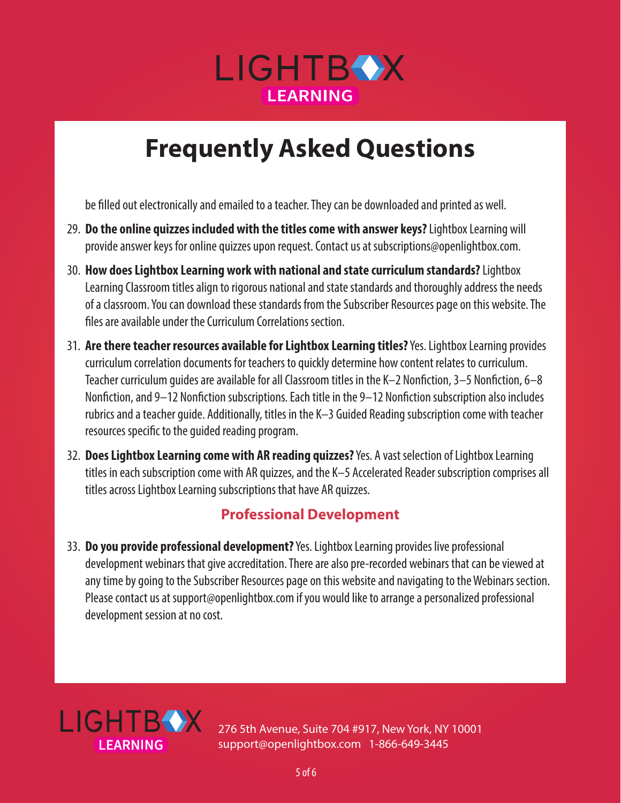

be filled out electronically and emailed to a teacher. They can be downloaded and printed as well.

- 29. **Do the online quizzes included with the titles come with answer keys?** Lightbox Learning will provide answer keys for online quizzes upon request. Contact us at subscriptions@openlightbox.com.
- 30. **How does Lightbox Learning work with national and state curriculum standards?** Lightbox Learning Classroom titles align to rigorous national and state standards and thoroughly address the needs of a classroom. You can download these standards from the Subscriber Resources page on this website. The files are available under the Curriculum Correlations section.
- 31. **Are there teacher resources available for Lightbox Learning titles?** Yes. Lightbox Learning provides curriculum correlation documents for teachers to quickly determine how content relates to curriculum. Teacher curriculum guides are available for all Classroom titles in the K–2 Nonfiction, 3–5 Nonfiction, 6–8 Nonfiction, and 9–12 Nonfiction subscriptions. Each title in the 9–12 Nonfiction subscription also includes rubrics and a teacher guide. Additionally, titles in the K–3 Guided Reading subscription come with teacher resources specific to the guided reading program.
- 32. **Does Lightbox Learning come with AR reading quizzes?** Yes. A vast selection of Lightbox Learning titles in each subscription come with AR quizzes, and the K–5 Accelerated Reader subscription comprises all titles across Lightbox Learning subscriptions that have AR quizzes.

### **Professional Development**

33. **Do you provide professional development?** Yes. Lightbox Learning provides live professional development webinars that give accreditation. There are also pre-recorded webinars that can be viewed at any time by going to the Subscriber Resources page on this website and navigating to the Webinars section. Please contact us at support@openlightbox.com if you would like to arrange a personalized professional development session at no cost.